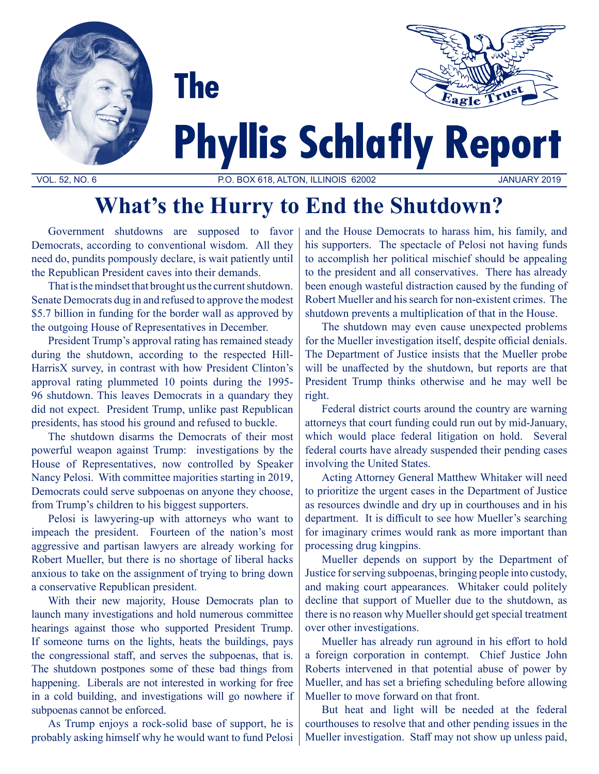



# **Phyllis Schlafly Report**

VOL. 52, NO. 6 P.O. BOX 618, ALTON, ILLINOIS 62002 JANUARY 2019

## **What's the Hurry to End the Shutdown?**

Government shutdowns are supposed to favor Democrats, according to conventional wisdom. All they need do, pundits pompously declare, is wait patiently until the Republican President caves into their demands.

**The** 

That is the mindset that brought us the current shutdown. Senate Democrats dug in and refused to approve the modest \$5.7 billion in funding for the border wall as approved by the outgoing House of Representatives in December.

President Trump's approval rating has remained steady during the shutdown, according to the respected Hill-HarrisX survey, in contrast with how President Clinton's approval rating plummeted 10 points during the 1995- 96 shutdown. This leaves Democrats in a quandary they did not expect. President Trump, unlike past Republican presidents, has stood his ground and refused to buckle.

The shutdown disarms the Democrats of their most powerful weapon against Trump: investigations by the House of Representatives, now controlled by Speaker Nancy Pelosi. With committee majorities starting in 2019, Democrats could serve subpoenas on anyone they choose, from Trump's children to his biggest supporters.

Pelosi is lawyering-up with attorneys who want to impeach the president. Fourteen of the nation's most aggressive and partisan lawyers are already working for Robert Mueller, but there is no shortage of liberal hacks anxious to take on the assignment of trying to bring down a conservative Republican president.

With their new majority, House Democrats plan to launch many investigations and hold numerous committee hearings against those who supported President Trump. If someone turns on the lights, heats the buildings, pays the congressional staff, and serves the subpoenas, that is. The shutdown postpones some of these bad things from happening. Liberals are not interested in working for free in a cold building, and investigations will go nowhere if subpoenas cannot be enforced.

As Trump enjoys a rock-solid base of support, he is probably asking himself why he would want to fund Pelosi and the House Democrats to harass him, his family, and his supporters. The spectacle of Pelosi not having funds to accomplish her political mischief should be appealing to the president and all conservatives. There has already been enough wasteful distraction caused by the funding of Robert Mueller and his search for non-existent crimes. The shutdown prevents a multiplication of that in the House.

The shutdown may even cause unexpected problems for the Mueller investigation itself, despite official denials. The Department of Justice insists that the Mueller probe will be unaffected by the shutdown, but reports are that President Trump thinks otherwise and he may well be right.

Federal district courts around the country are warning attorneys that court funding could run out by mid-January, which would place federal litigation on hold. Several federal courts have already suspended their pending cases involving the United States.

Acting Attorney General Matthew Whitaker will need to prioritize the urgent cases in the Department of Justice as resources dwindle and dry up in courthouses and in his department. It is difficult to see how Mueller's searching for imaginary crimes would rank as more important than processing drug kingpins.

Mueller depends on support by the Department of Justice for serving subpoenas, bringing people into custody, and making court appearances. Whitaker could politely decline that support of Mueller due to the shutdown, as there is no reason why Mueller should get special treatment over other investigations.

Mueller has already run aground in his effort to hold a foreign corporation in contempt. Chief Justice John Roberts intervened in that potential abuse of power by Mueller, and has set a briefing scheduling before allowing Mueller to move forward on that front.

But heat and light will be needed at the federal courthouses to resolve that and other pending issues in the Mueller investigation. Staff may not show up unless paid,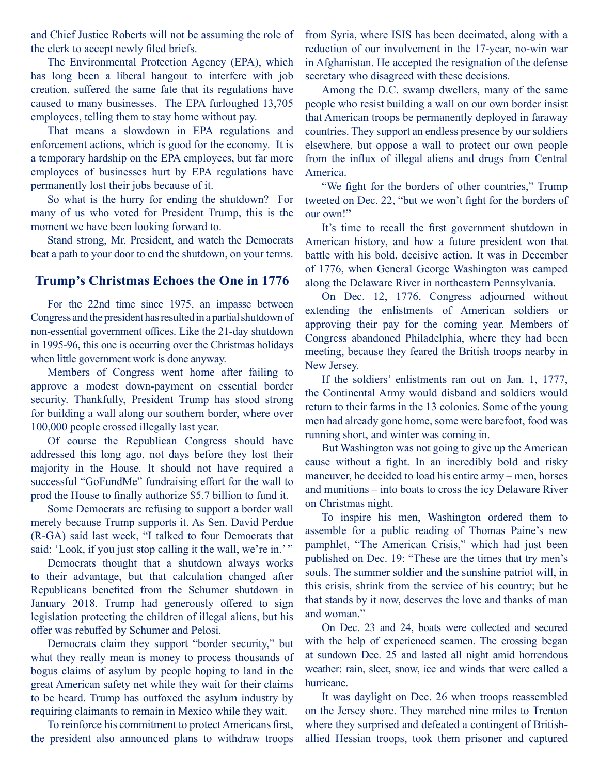and Chief Justice Roberts will not be assuming the role of the clerk to accept newly filed briefs.

The Environmental Protection Agency (EPA), which has long been a liberal hangout to interfere with job creation, suffered the same fate that its regulations have caused to many businesses. The EPA furloughed 13,705 employees, telling them to stay home without pay.

That means a slowdown in EPA regulations and enforcement actions, which is good for the economy. It is a temporary hardship on the EPA employees, but far more employees of businesses hurt by EPA regulations have permanently lost their jobs because of it.

So what is the hurry for ending the shutdown? For many of us who voted for President Trump, this is the moment we have been looking forward to.

Stand strong, Mr. President, and watch the Democrats beat a path to your door to end the shutdown, on your terms.

### **Trump's Christmas Echoes the One in 1776**

For the 22nd time since 1975, an impasse between Congress and the president has resulted in a partial shutdown of non-essential government offices. Like the 21-day shutdown in 1995-96, this one is occurring over the Christmas holidays when little government work is done anyway.

Members of Congress went home after failing to approve a modest down-payment on essential border security. Thankfully, President Trump has stood strong for building a wall along our southern border, where over 100,000 people crossed illegally last year.

Of course the Republican Congress should have addressed this long ago, not days before they lost their majority in the House. It should not have required a successful "GoFundMe" fundraising effort for the wall to prod the House to finally authorize \$5.7 billion to fund it.

Some Democrats are refusing to support a border wall merely because Trump supports it. As Sen. David Perdue (R-GA) said last week, "I talked to four Democrats that said: 'Look, if you just stop calling it the wall, we're in.'"

Democrats thought that a shutdown always works to their advantage, but that calculation changed after Republicans benefited from the Schumer shutdown in January 2018. Trump had generously offered to sign legislation protecting the children of illegal aliens, but his offer was rebuffed by Schumer and Pelosi.

Democrats claim they support "border security," but what they really mean is money to process thousands of bogus claims of asylum by people hoping to land in the great American safety net while they wait for their claims to be heard. Trump has outfoxed the asylum industry by requiring claimants to remain in Mexico while they wait.

To reinforce his commitment to protect Americans first, the president also announced plans to withdraw troops from Syria, where ISIS has been decimated, along with a reduction of our involvement in the 17-year, no-win war in Afghanistan. He accepted the resignation of the defense secretary who disagreed with these decisions.

Among the D.C. swamp dwellers, many of the same people who resist building a wall on our own border insist that American troops be permanently deployed in faraway countries. They support an endless presence by our soldiers elsewhere, but oppose a wall to protect our own people from the influx of illegal aliens and drugs from Central America.

"We fight for the borders of other countries," Trump tweeted on Dec. 22, "but we won't fight for the borders of our own!"

It's time to recall the first government shutdown in American history, and how a future president won that battle with his bold, decisive action. It was in December of 1776, when General George Washington was camped along the Delaware River in northeastern Pennsylvania.

On Dec. 12, 1776, Congress adjourned without extending the enlistments of American soldiers or approving their pay for the coming year. Members of Congress abandoned Philadelphia, where they had been meeting, because they feared the British troops nearby in New Jersey.

If the soldiers' enlistments ran out on Jan. 1, 1777, the Continental Army would disband and soldiers would return to their farms in the 13 colonies. Some of the young men had already gone home, some were barefoot, food was running short, and winter was coming in.

But Washington was not going to give up the American cause without a fight. In an incredibly bold and risky maneuver, he decided to load his entire army – men, horses and munitions – into boats to cross the icy Delaware River on Christmas night.

To inspire his men, Washington ordered them to assemble for a public reading of Thomas Paine's new pamphlet, "The American Crisis," which had just been published on Dec. 19: "These are the times that try men's souls. The summer soldier and the sunshine patriot will, in this crisis, shrink from the service of his country; but he that stands by it now, deserves the love and thanks of man and woman."

On Dec. 23 and 24, boats were collected and secured with the help of experienced seamen. The crossing began at sundown Dec. 25 and lasted all night amid horrendous weather: rain, sleet, snow, ice and winds that were called a hurricane.

It was daylight on Dec. 26 when troops reassembled on the Jersey shore. They marched nine miles to Trenton where they surprised and defeated a contingent of Britishallied Hessian troops, took them prisoner and captured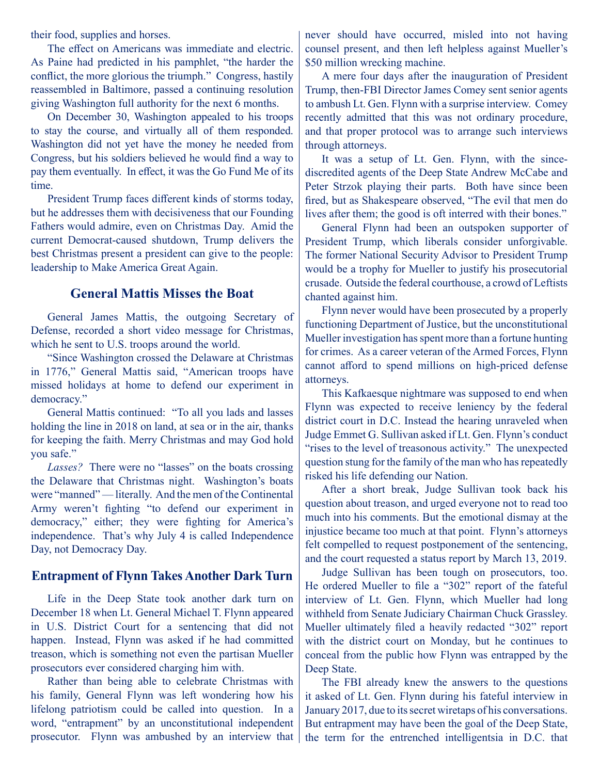their food, supplies and horses.

The effect on Americans was immediate and electric. As Paine had predicted in his pamphlet, "the harder the conflict, the more glorious the triumph." Congress, hastily reassembled in Baltimore, passed a continuing resolution giving Washington full authority for the next 6 months.

On December 30, Washington appealed to his troops to stay the course, and virtually all of them responded. Washington did not yet have the money he needed from Congress, but his soldiers believed he would find a way to pay them eventually. In effect, it was the Go Fund Me of its time.

President Trump faces different kinds of storms today, but he addresses them with decisiveness that our Founding Fathers would admire, even on Christmas Day. Amid the current Democrat-caused shutdown, Trump delivers the best Christmas present a president can give to the people: leadership to Make America Great Again.

#### **General Mattis Misses the Boat**

General James Mattis, the outgoing Secretary of Defense, recorded a short video message for Christmas, which he sent to U.S. troops around the world.

"Since Washington crossed the Delaware at Christmas in 1776," General Mattis said, "American troops have missed holidays at home to defend our experiment in democracy."

General Mattis continued: "To all you lads and lasses holding the line in 2018 on land, at sea or in the air, thanks for keeping the faith. Merry Christmas and may God hold you safe."

*Lasses?* There were no "lasses" on the boats crossing the Delaware that Christmas night. Washington's boats were "manned" — literally. And the men of the Continental Army weren't fighting "to defend our experiment in democracy," either; they were fighting for America's independence. That's why July 4 is called Independence Day, not Democracy Day.

#### **Entrapment of Flynn Takes Another Dark Turn**

Life in the Deep State took another dark turn on December 18 when Lt. General Michael T. Flynn appeared in U.S. District Court for a sentencing that did not happen. Instead, Flynn was asked if he had committed treason, which is something not even the partisan Mueller prosecutors ever considered charging him with.

Rather than being able to celebrate Christmas with his family, General Flynn was left wondering how his lifelong patriotism could be called into question. In a word, "entrapment" by an unconstitutional independent prosecutor. Flynn was ambushed by an interview that never should have occurred, misled into not having counsel present, and then left helpless against Mueller's \$50 million wrecking machine.

A mere four days after the inauguration of President Trump, then-FBI Director James Comey sent senior agents to ambush Lt. Gen. Flynn with a surprise interview. Comey recently admitted that this was not ordinary procedure, and that proper protocol was to arrange such interviews through attorneys.

It was a setup of Lt. Gen. Flynn, with the sincediscredited agents of the Deep State Andrew McCabe and Peter Strzok playing their parts. Both have since been fired, but as Shakespeare observed, "The evil that men do lives after them; the good is oft interred with their bones."

General Flynn had been an outspoken supporter of President Trump, which liberals consider unforgivable. The former National Security Advisor to President Trump would be a trophy for Mueller to justify his prosecutorial crusade. Outside the federal courthouse, a crowd of Leftists chanted against him.

Flynn never would have been prosecuted by a properly functioning Department of Justice, but the unconstitutional Mueller investigation has spent more than a fortune hunting for crimes. As a career veteran of the Armed Forces, Flynn cannot afford to spend millions on high-priced defense attorneys.

This Kafkaesque nightmare was supposed to end when Flynn was expected to receive leniency by the federal district court in D.C. Instead the hearing unraveled when Judge Emmet G. Sullivan asked if Lt. Gen. Flynn's conduct "rises to the level of treasonous activity." The unexpected question stung for the family of the man who has repeatedly risked his life defending our Nation.

After a short break, Judge Sullivan took back his question about treason, and urged everyone not to read too much into his comments. But the emotional dismay at the injustice became too much at that point. Flynn's attorneys felt compelled to request postponement of the sentencing, and the court requested a status report by March 13, 2019.

Judge Sullivan has been tough on prosecutors, too. He ordered Mueller to file a "302" report of the fateful interview of Lt. Gen. Flynn, which Mueller had long withheld from Senate Judiciary Chairman Chuck Grassley. Mueller ultimately filed a heavily redacted "302" report with the district court on Monday, but he continues to conceal from the public how Flynn was entrapped by the Deep State.

The FBI already knew the answers to the questions it asked of Lt. Gen. Flynn during his fateful interview in January 2017, due to its secret wiretaps of his conversations. But entrapment may have been the goal of the Deep State, the term for the entrenched intelligentsia in D.C. that